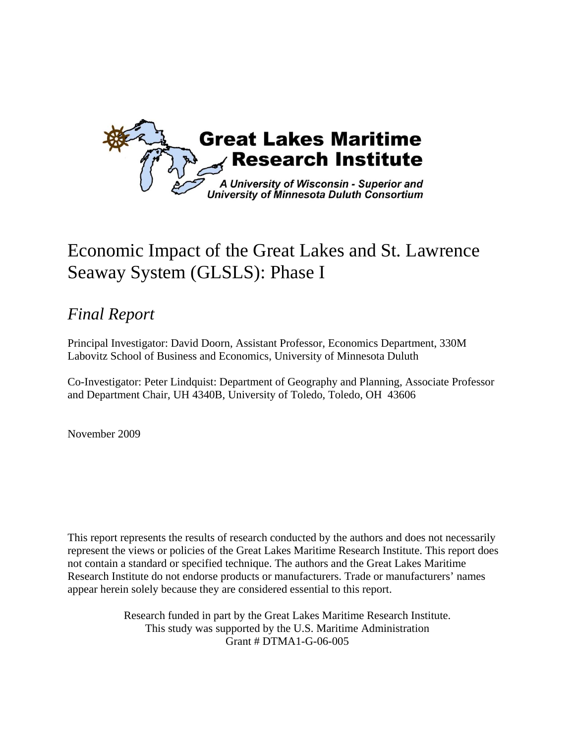

# Economic Impact of the Great Lakes and St. Lawrence Seaway System (GLSLS): Phase I

# *Final Report*

Principal Investigator: David Doorn, Assistant Professor, Economics Department, 330M Labovitz School of Business and Economics, University of Minnesota Duluth

Co-Investigator: Peter Lindquist: Department of Geography and Planning, Associate Professor and Department Chair, UH 4340B, University of Toledo, Toledo, OH 43606

November 2009

This report represents the results of research conducted by the authors and does not necessarily represent the views or policies of the Great Lakes Maritime Research Institute. This report does not contain a standard or specified technique. The authors and the Great Lakes Maritime Research Institute do not endorse products or manufacturers. Trade or manufacturers' names appear herein solely because they are considered essential to this report.

> Research funded in part by the Great Lakes Maritime Research Institute. This study was supported by the U.S. Maritime Administration Grant # DTMA1-G-06-005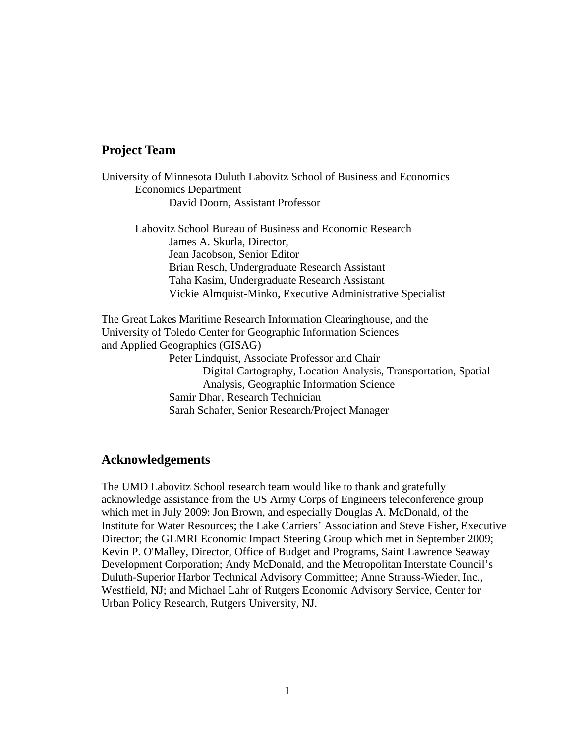## **Project Team**

University of Minnesota Duluth Labovitz School of Business and Economics Economics Department David Doorn, Assistant Professor

Labovitz School Bureau of Business and Economic Research James A. Skurla, Director, Jean Jacobson, Senior Editor Brian Resch, Undergraduate Research Assistant Taha Kasim, Undergraduate Research Assistant Vickie Almquist-Minko, Executive Administrative Specialist

The Great Lakes Maritime Research Information Clearinghouse, and the University of Toledo Center for Geographic Information Sciences and Applied Geographics (GISAG) Peter Lindquist, Associate Professor and Chair Digital Cartography, Location Analysis, Transportation, Spatial Analysis, Geographic Information Science Samir Dhar, Research Technician Sarah Schafer, Senior Research/Project Manager

## **Acknowledgements**

The UMD Labovitz School research team would like to thank and gratefully acknowledge assistance from the US Army Corps of Engineers teleconference group which met in July 2009: Jon Brown, and especially Douglas A. McDonald, of the Institute for Water Resources; the Lake Carriers' Association and Steve Fisher, Executive Director; the GLMRI Economic Impact Steering Group which met in September 2009; Kevin P. O'Malley, Director, Office of Budget and Programs, Saint Lawrence Seaway Development Corporation; Andy McDonald, and the Metropolitan Interstate Council's Duluth-Superior Harbor Technical Advisory Committee; Anne Strauss-Wieder, Inc., Westfield, NJ; and Michael Lahr of Rutgers Economic Advisory Service, Center for Urban Policy Research, Rutgers University, NJ.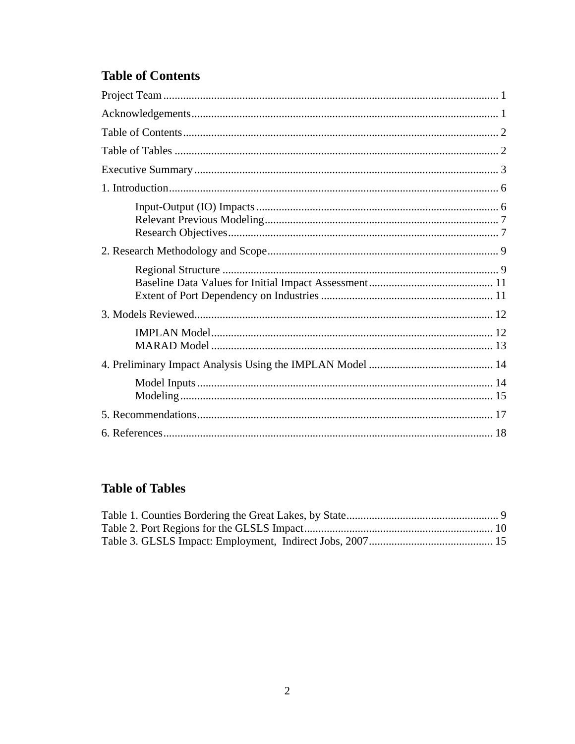# **Table of Contents**

# **Table of Tables**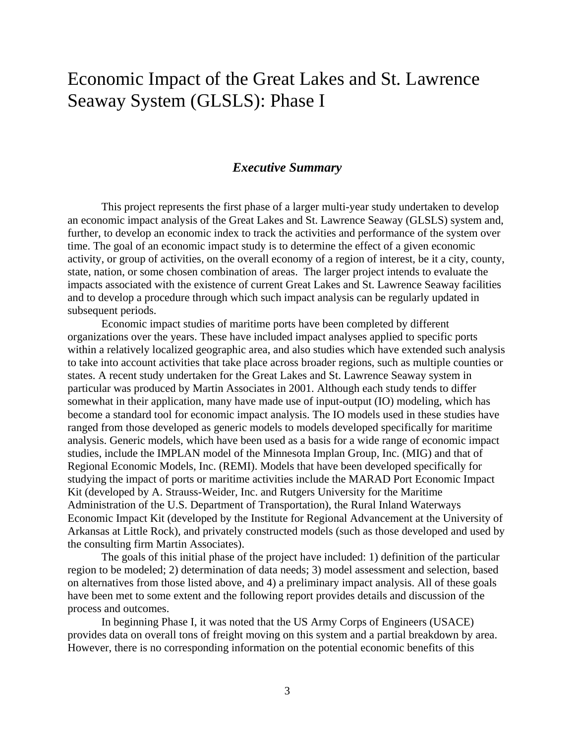# Economic Impact of the Great Lakes and St. Lawrence Seaway System (GLSLS): Phase I

# *Executive Summary*

This project represents the first phase of a larger multi-year study undertaken to develop an economic impact analysis of the Great Lakes and St. Lawrence Seaway (GLSLS) system and, further, to develop an economic index to track the activities and performance of the system over time. The goal of an economic impact study is to determine the effect of a given economic activity, or group of activities, on the overall economy of a region of interest, be it a city, county, state, nation, or some chosen combination of areas. The larger project intends to evaluate the impacts associated with the existence of current Great Lakes and St. Lawrence Seaway facilities and to develop a procedure through which such impact analysis can be regularly updated in subsequent periods.

Economic impact studies of maritime ports have been completed by different organizations over the years. These have included impact analyses applied to specific ports within a relatively localized geographic area, and also studies which have extended such analysis to take into account activities that take place across broader regions, such as multiple counties or states. A recent study undertaken for the Great Lakes and St. Lawrence Seaway system in particular was produced by Martin Associates in 2001. Although each study tends to differ somewhat in their application, many have made use of input-output (IO) modeling, which has become a standard tool for economic impact analysis. The IO models used in these studies have ranged from those developed as generic models to models developed specifically for maritime analysis. Generic models, which have been used as a basis for a wide range of economic impact studies, include the IMPLAN model of the Minnesota Implan Group, Inc. (MIG) and that of Regional Economic Models, Inc. (REMI). Models that have been developed specifically for studying the impact of ports or maritime activities include the MARAD Port Economic Impact Kit (developed by A. Strauss-Weider, Inc. and Rutgers University for the Maritime Administration of the U.S. Department of Transportation), the Rural Inland Waterways Economic Impact Kit (developed by the Institute for Regional Advancement at the University of Arkansas at Little Rock), and privately constructed models (such as those developed and used by the consulting firm Martin Associates).

The goals of this initial phase of the project have included: 1) definition of the particular region to be modeled; 2) determination of data needs; 3) model assessment and selection, based on alternatives from those listed above, and 4) a preliminary impact analysis. All of these goals have been met to some extent and the following report provides details and discussion of the process and outcomes.

In beginning Phase I, it was noted that the US Army Corps of Engineers (USACE) provides data on overall tons of freight moving on this system and a partial breakdown by area. However, there is no corresponding information on the potential economic benefits of this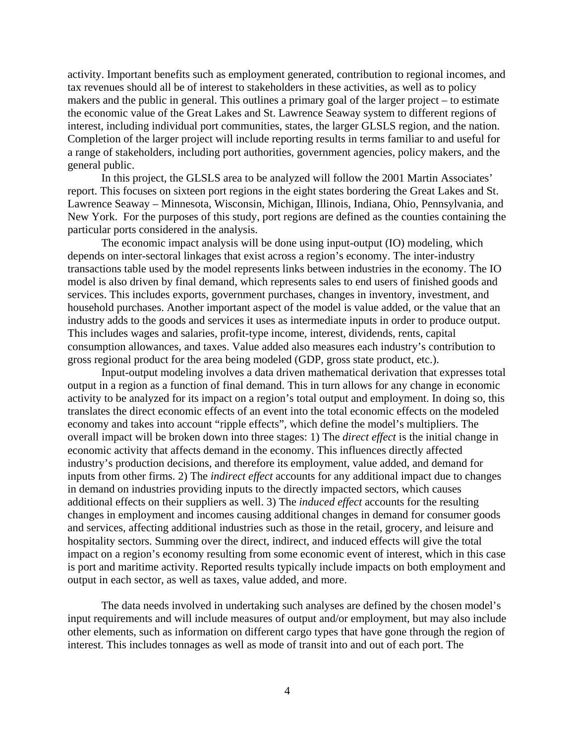activity. Important benefits such as employment generated, contribution to regional incomes, and tax revenues should all be of interest to stakeholders in these activities, as well as to policy makers and the public in general. This outlines a primary goal of the larger project – to estimate the economic value of the Great Lakes and St. Lawrence Seaway system to different regions of interest, including individual port communities, states, the larger GLSLS region, and the nation. Completion of the larger project will include reporting results in terms familiar to and useful for a range of stakeholders, including port authorities, government agencies, policy makers, and the general public.

In this project, the GLSLS area to be analyzed will follow the 2001 Martin Associates' report. This focuses on sixteen port regions in the eight states bordering the Great Lakes and St. Lawrence Seaway – Minnesota, Wisconsin, Michigan, Illinois, Indiana, Ohio, Pennsylvania, and New York. For the purposes of this study, port regions are defined as the counties containing the particular ports considered in the analysis.

The economic impact analysis will be done using input-output (IO) modeling, which depends on inter-sectoral linkages that exist across a region's economy. The inter-industry transactions table used by the model represents links between industries in the economy. The IO model is also driven by final demand, which represents sales to end users of finished goods and services. This includes exports, government purchases, changes in inventory, investment, and household purchases. Another important aspect of the model is value added, or the value that an industry adds to the goods and services it uses as intermediate inputs in order to produce output. This includes wages and salaries, profit-type income, interest, dividends, rents, capital consumption allowances, and taxes. Value added also measures each industry's contribution to gross regional product for the area being modeled (GDP, gross state product, etc.).

Input-output modeling involves a data driven mathematical derivation that expresses total output in a region as a function of final demand. This in turn allows for any change in economic activity to be analyzed for its impact on a region's total output and employment. In doing so, this translates the direct economic effects of an event into the total economic effects on the modeled economy and takes into account "ripple effects", which define the model's multipliers. The overall impact will be broken down into three stages: 1) The *direct effect* is the initial change in economic activity that affects demand in the economy. This influences directly affected industry's production decisions, and therefore its employment, value added, and demand for inputs from other firms. 2) The *indirect effect* accounts for any additional impact due to changes in demand on industries providing inputs to the directly impacted sectors, which causes additional effects on their suppliers as well. 3) The *induced effect* accounts for the resulting changes in employment and incomes causing additional changes in demand for consumer goods and services, affecting additional industries such as those in the retail, grocery, and leisure and hospitality sectors. Summing over the direct, indirect, and induced effects will give the total impact on a region's economy resulting from some economic event of interest, which in this case is port and maritime activity. Reported results typically include impacts on both employment and output in each sector, as well as taxes, value added, and more.

The data needs involved in undertaking such analyses are defined by the chosen model's input requirements and will include measures of output and/or employment, but may also include other elements, such as information on different cargo types that have gone through the region of interest. This includes tonnages as well as mode of transit into and out of each port. The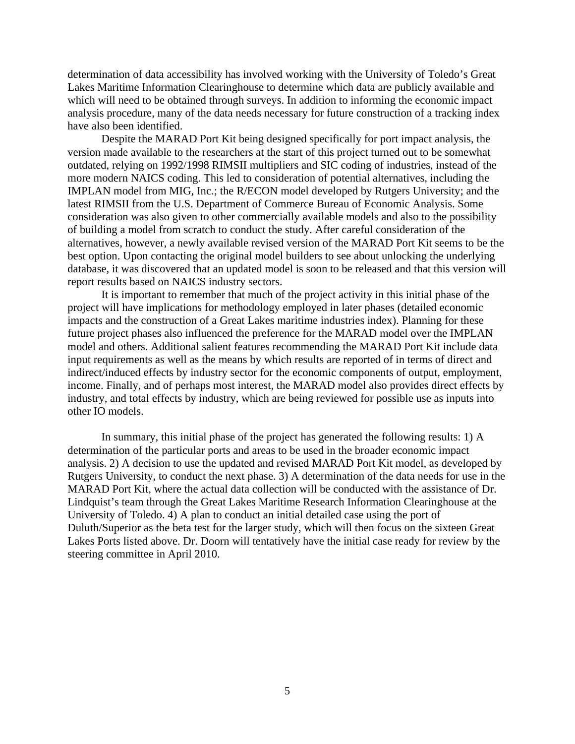determination of data accessibility has involved working with the University of Toledo's Great Lakes Maritime Information Clearinghouse to determine which data are publicly available and which will need to be obtained through surveys. In addition to informing the economic impact analysis procedure, many of the data needs necessary for future construction of a tracking index have also been identified.

Despite the MARAD Port Kit being designed specifically for port impact analysis, the version made available to the researchers at the start of this project turned out to be somewhat outdated, relying on 1992/1998 RIMSII multipliers and SIC coding of industries, instead of the more modern NAICS coding. This led to consideration of potential alternatives, including the IMPLAN model from MIG, Inc.; the R/ECON model developed by Rutgers University; and the latest RIMSII from the U.S. Department of Commerce Bureau of Economic Analysis. Some consideration was also given to other commercially available models and also to the possibility of building a model from scratch to conduct the study. After careful consideration of the alternatives, however, a newly available revised version of the MARAD Port Kit seems to be the best option. Upon contacting the original model builders to see about unlocking the underlying database, it was discovered that an updated model is soon to be released and that this version will report results based on NAICS industry sectors.

It is important to remember that much of the project activity in this initial phase of the project will have implications for methodology employed in later phases (detailed economic impacts and the construction of a Great Lakes maritime industries index). Planning for these future project phases also influenced the preference for the MARAD model over the IMPLAN model and others. Additional salient features recommending the MARAD Port Kit include data input requirements as well as the means by which results are reported of in terms of direct and indirect/induced effects by industry sector for the economic components of output, employment, income. Finally, and of perhaps most interest, the MARAD model also provides direct effects by industry, and total effects by industry, which are being reviewed for possible use as inputs into other IO models.

In summary, this initial phase of the project has generated the following results: 1) A determination of the particular ports and areas to be used in the broader economic impact analysis. 2) A decision to use the updated and revised MARAD Port Kit model, as developed by Rutgers University, to conduct the next phase. 3) A determination of the data needs for use in the MARAD Port Kit, where the actual data collection will be conducted with the assistance of Dr. Lindquist's team through the Great Lakes Maritime Research Information Clearinghouse at the University of Toledo. 4) A plan to conduct an initial detailed case using the port of Duluth/Superior as the beta test for the larger study, which will then focus on the sixteen Great Lakes Ports listed above. Dr. Doorn will tentatively have the initial case ready for review by the steering committee in April 2010.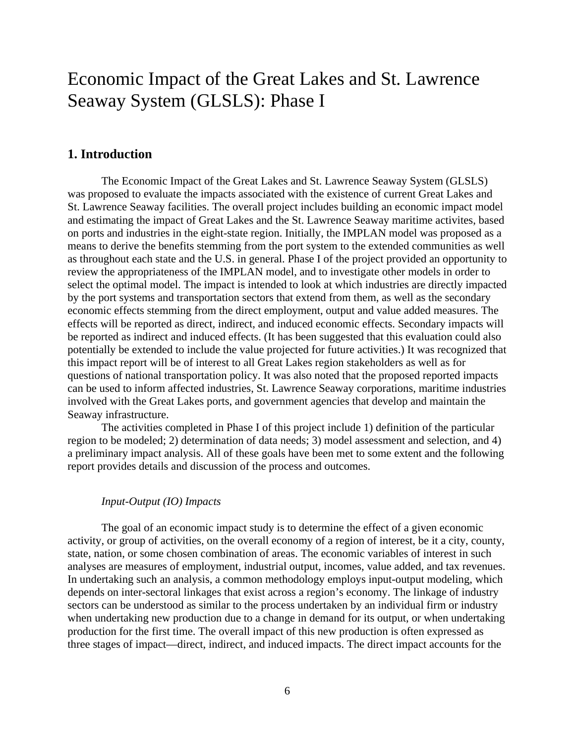# Economic Impact of the Great Lakes and St. Lawrence Seaway System (GLSLS): Phase I

## **1. Introduction**

The Economic Impact of the Great Lakes and St. Lawrence Seaway System (GLSLS) was proposed to evaluate the impacts associated with the existence of current Great Lakes and St. Lawrence Seaway facilities. The overall project includes building an economic impact model and estimating the impact of Great Lakes and the St. Lawrence Seaway maritime activites, based on ports and industries in the eight-state region. Initially, the IMPLAN model was proposed as a means to derive the benefits stemming from the port system to the extended communities as well as throughout each state and the U.S. in general. Phase I of the project provided an opportunity to review the appropriateness of the IMPLAN model, and to investigate other models in order to select the optimal model. The impact is intended to look at which industries are directly impacted by the port systems and transportation sectors that extend from them, as well as the secondary economic effects stemming from the direct employment, output and value added measures. The effects will be reported as direct, indirect, and induced economic effects. Secondary impacts will be reported as indirect and induced effects. (It has been suggested that this evaluation could also potentially be extended to include the value projected for future activities.) It was recognized that this impact report will be of interest to all Great Lakes region stakeholders as well as for questions of national transportation policy. It was also noted that the proposed reported impacts can be used to inform affected industries, St. Lawrence Seaway corporations, maritime industries involved with the Great Lakes ports, and government agencies that develop and maintain the Seaway infrastructure.

The activities completed in Phase I of this project include 1) definition of the particular region to be modeled; 2) determination of data needs; 3) model assessment and selection, and 4) a preliminary impact analysis. All of these goals have been met to some extent and the following report provides details and discussion of the process and outcomes.

#### *Input-Output (IO) Impacts*

The goal of an economic impact study is to determine the effect of a given economic activity, or group of activities, on the overall economy of a region of interest, be it a city, county, state, nation, or some chosen combination of areas. The economic variables of interest in such analyses are measures of employment, industrial output, incomes, value added, and tax revenues. In undertaking such an analysis, a common methodology employs input-output modeling, which depends on inter-sectoral linkages that exist across a region's economy. The linkage of industry sectors can be understood as similar to the process undertaken by an individual firm or industry when undertaking new production due to a change in demand for its output, or when undertaking production for the first time. The overall impact of this new production is often expressed as three stages of impact—direct, indirect, and induced impacts. The direct impact accounts for the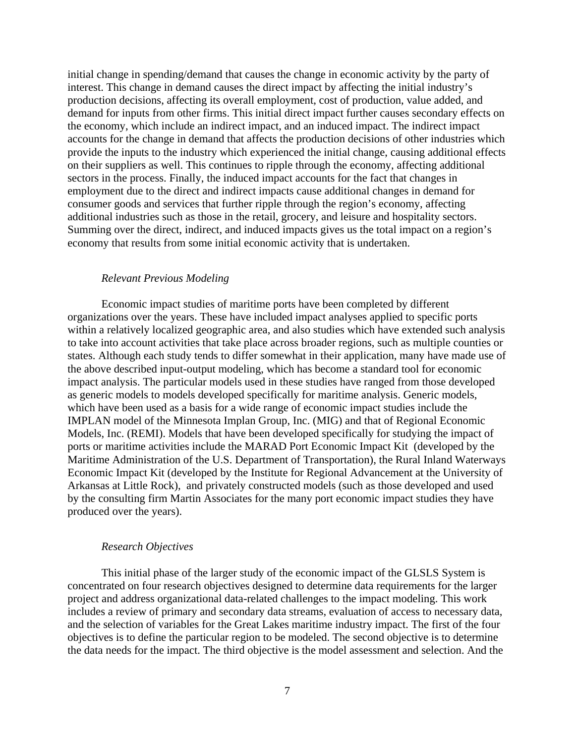initial change in spending/demand that causes the change in economic activity by the party of interest. This change in demand causes the direct impact by affecting the initial industry's production decisions, affecting its overall employment, cost of production, value added, and demand for inputs from other firms. This initial direct impact further causes secondary effects on the economy, which include an indirect impact, and an induced impact. The indirect impact accounts for the change in demand that affects the production decisions of other industries which provide the inputs to the industry which experienced the initial change, causing additional effects on their suppliers as well. This continues to ripple through the economy, affecting additional sectors in the process. Finally, the induced impact accounts for the fact that changes in employment due to the direct and indirect impacts cause additional changes in demand for consumer goods and services that further ripple through the region's economy, affecting additional industries such as those in the retail, grocery, and leisure and hospitality sectors. Summing over the direct, indirect, and induced impacts gives us the total impact on a region's economy that results from some initial economic activity that is undertaken.

#### *Relevant Previous Modeling*

Economic impact studies of maritime ports have been completed by different organizations over the years. These have included impact analyses applied to specific ports within a relatively localized geographic area, and also studies which have extended such analysis to take into account activities that take place across broader regions, such as multiple counties or states. Although each study tends to differ somewhat in their application, many have made use of the above described input-output modeling, which has become a standard tool for economic impact analysis. The particular models used in these studies have ranged from those developed as generic models to models developed specifically for maritime analysis. Generic models, which have been used as a basis for a wide range of economic impact studies include the IMPLAN model of the Minnesota Implan Group, Inc. (MIG) and that of Regional Economic Models, Inc. (REMI). Models that have been developed specifically for studying the impact of ports or maritime activities include the MARAD Port Economic Impact Kit (developed by the Maritime Administration of the U.S. Department of Transportation), the Rural Inland Waterways Economic Impact Kit (developed by the Institute for Regional Advancement at the University of Arkansas at Little Rock), and privately constructed models (such as those developed and used by the consulting firm Martin Associates for the many port economic impact studies they have produced over the years).

#### *Research Objectives*

This initial phase of the larger study of the economic impact of the GLSLS System is concentrated on four research objectives designed to determine data requirements for the larger project and address organizational data-related challenges to the impact modeling. This work includes a review of primary and secondary data streams, evaluation of access to necessary data, and the selection of variables for the Great Lakes maritime industry impact. The first of the four objectives is to define the particular region to be modeled. The second objective is to determine the data needs for the impact. The third objective is the model assessment and selection. And the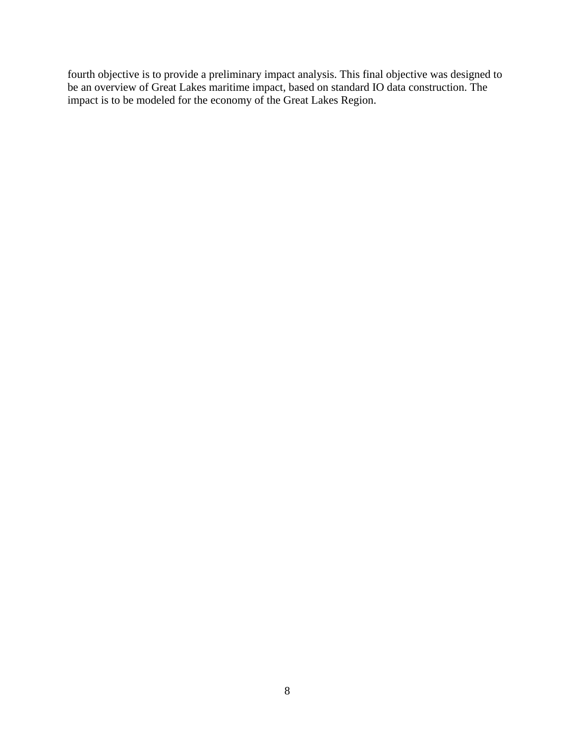fourth objective is to provide a preliminary impact analysis. This final objective was designed to be an overview of Great Lakes maritime impact, based on standard IO data construction. The impact is to be modeled for the economy of the Great Lakes Region.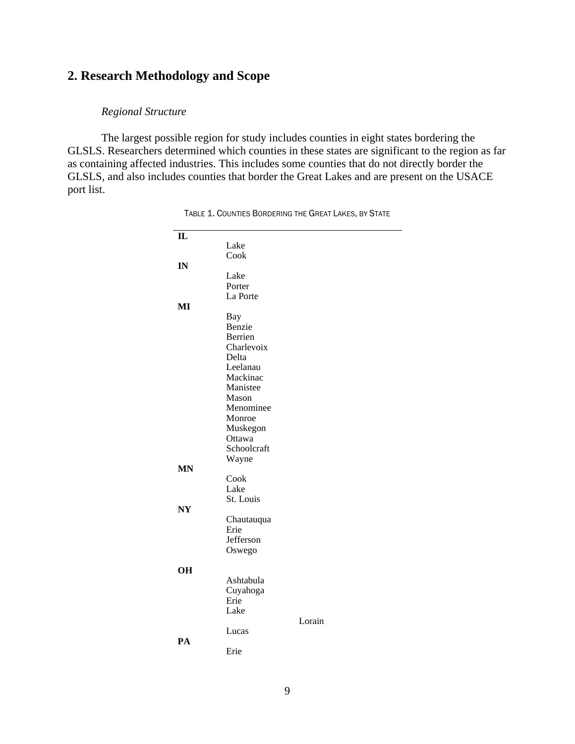# **2. Research Methodology and Scope**

#### *Regional Structure*

The largest possible region for study includes counties in eight states bordering the GLSLS. Researchers determined which counties in these states are significant to the region as far as containing affected industries. This includes some counties that do not directly border the GLSLS, and also includes counties that border the Great Lakes and are present on the USACE port list.

| $\mathbf{L}$ |             |        |
|--------------|-------------|--------|
|              | Lake        |        |
|              | Cook        |        |
| IN           |             |        |
|              | Lake        |        |
|              | Porter      |        |
|              | La Porte    |        |
| MI           |             |        |
|              | Bay         |        |
|              | Benzie      |        |
|              | Berrien     |        |
|              | Charlevoix  |        |
|              | Delta       |        |
|              | Leelanau    |        |
|              | Mackinac    |        |
|              | Manistee    |        |
|              | Mason       |        |
|              | Menominee   |        |
|              | Monroe      |        |
|              | Muskegon    |        |
|              | Ottawa      |        |
|              | Schoolcraft |        |
|              | Wayne       |        |
| <b>MN</b>    |             |        |
|              | Cook        |        |
|              | Lake        |        |
|              | St. Louis   |        |
| <b>NY</b>    |             |        |
|              | Chautauqua  |        |
|              | Erie        |        |
|              | Jefferson   |        |
|              | Oswego      |        |
|              |             |        |
| <b>OH</b>    |             |        |
|              | Ashtabula   |        |
|              | Cuyahoga    |        |
|              | Erie        |        |
|              | Lake        |        |
|              |             | Lorain |
|              | Lucas       |        |
| PA           | Erie        |        |
|              |             |        |

| TABLE 1. COUNTIES BORDERING THE GREAT LAKES, BY STATE |  |
|-------------------------------------------------------|--|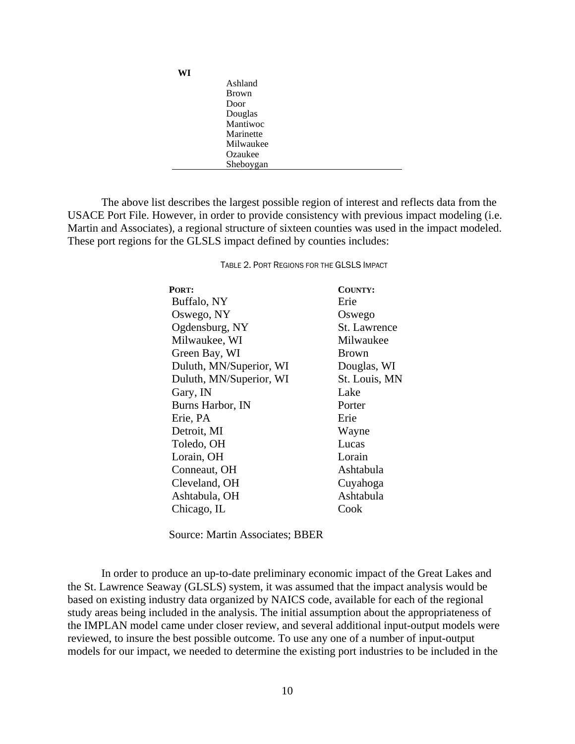| WI |              |
|----|--------------|
|    | Ashland      |
|    | <b>Brown</b> |
|    | Door         |
|    | Douglas      |
|    | Mantiwoc     |
|    | Marinette    |
|    | Milwaukee    |
|    | Ozaukee      |
|    | Sheboygan    |

The above list describes the largest possible region of interest and reflects data from the USACE Port File. However, in order to provide consistency with previous impact modeling (i.e. Martin and Associates), a regional structure of sixteen counties was used in the impact modeled. These port regions for the GLSLS impact defined by counties includes:

TABLE 2. PORT REGIONS FOR THE GLSLS IMPACT

| PORT:                   | <b>COUNTY:</b>      |
|-------------------------|---------------------|
| Buffalo, NY             | Erie                |
| Oswego, NY              | Oswego              |
| Ogdensburg, NY          | <b>St.</b> Lawrence |
| Milwaukee, WI           | Milwaukee           |
| Green Bay, WI           | <b>Brown</b>        |
| Duluth, MN/Superior, WI | Douglas, WI         |
| Duluth, MN/Superior, WI | St. Louis, MN       |
| Gary, IN                | Lake                |
| Burns Harbor, IN        | Porter              |
| Erie, PA                | Erie                |
| Detroit, MI             | Wayne               |
| Toledo, OH              | Lucas               |
| Lorain, OH              | Lorain              |
| Conneaut, OH            | Ashtabula           |
| Cleveland, OH           | Cuyahoga            |
| Ashtabula, OH           | Ashtabula           |
| Chicago, IL             | Cook                |

Source: Martin Associates; BBER

In order to produce an up-to-date preliminary economic impact of the Great Lakes and the St. Lawrence Seaway (GLSLS) system, it was assumed that the impact analysis would be based on existing industry data organized by NAICS code, available for each of the regional study areas being included in the analysis. The initial assumption about the appropriateness of the IMPLAN model came under closer review, and several additional input-output models were reviewed, to insure the best possible outcome. To use any one of a number of input-output models for our impact, we needed to determine the existing port industries to be included in the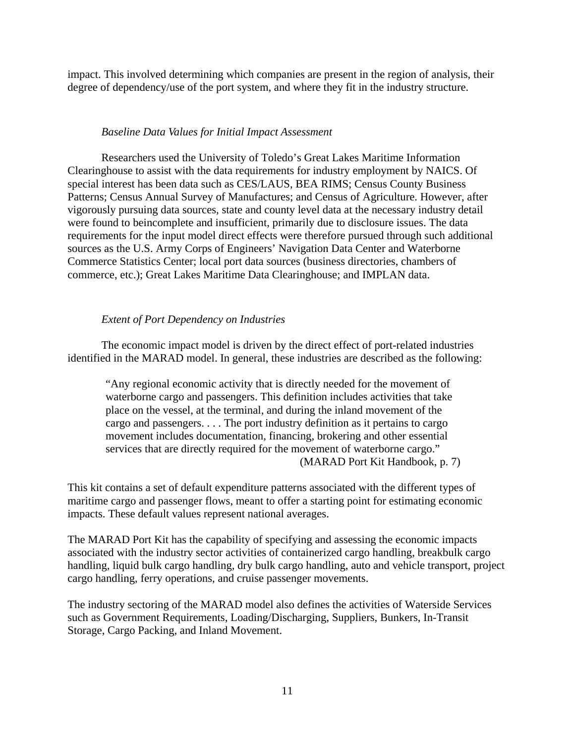impact. This involved determining which companies are present in the region of analysis, their degree of dependency/use of the port system, and where they fit in the industry structure.

#### *Baseline Data Values for Initial Impact Assessment*

Researchers used the University of Toledo's Great Lakes Maritime Information Clearinghouse to assist with the data requirements for industry employment by NAICS. Of special interest has been data such as CES/LAUS, BEA RIMS; Census County Business Patterns; Census Annual Survey of Manufactures; and Census of Agriculture. However, after vigorously pursuing data sources, state and county level data at the necessary industry detail were found to beincomplete and insufficient, primarily due to disclosure issues. The data requirements for the input model direct effects were therefore pursued through such additional sources as the U.S. Army Corps of Engineers' Navigation Data Center and Waterborne Commerce Statistics Center; local port data sources (business directories, chambers of commerce, etc.); Great Lakes Maritime Data Clearinghouse; and IMPLAN data.

#### *Extent of Port Dependency on Industries*

The economic impact model is driven by the direct effect of port-related industries identified in the MARAD model. In general, these industries are described as the following:

"Any regional economic activity that is directly needed for the movement of waterborne cargo and passengers. This definition includes activities that take place on the vessel, at the terminal, and during the inland movement of the cargo and passengers. . . . The port industry definition as it pertains to cargo movement includes documentation, financing, brokering and other essential services that are directly required for the movement of waterborne cargo." (MARAD Port Kit Handbook, p. 7)

This kit contains a set of default expenditure patterns associated with the different types of maritime cargo and passenger flows, meant to offer a starting point for estimating economic impacts. These default values represent national averages.

The MARAD Port Kit has the capability of specifying and assessing the economic impacts associated with the industry sector activities of containerized cargo handling, breakbulk cargo handling, liquid bulk cargo handling, dry bulk cargo handling, auto and vehicle transport, project cargo handling, ferry operations, and cruise passenger movements.

The industry sectoring of the MARAD model also defines the activities of Waterside Services such as Government Requirements, Loading/Discharging, Suppliers, Bunkers, In-Transit Storage, Cargo Packing, and Inland Movement.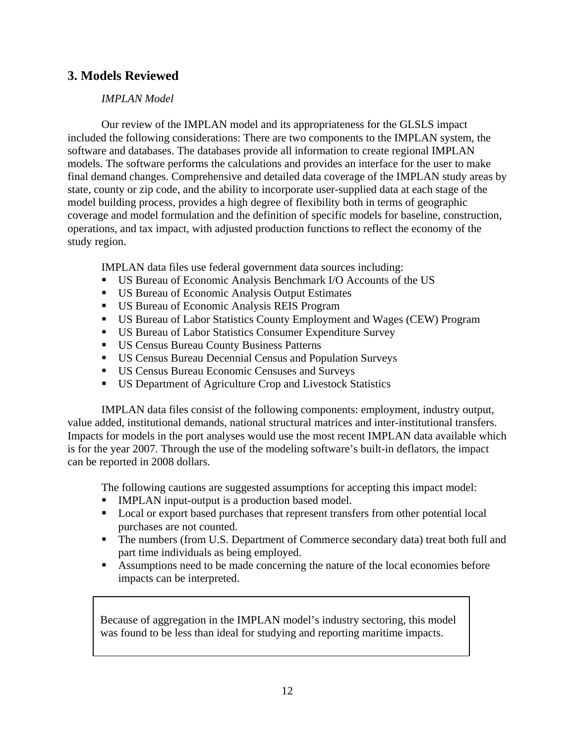# **3. Models Reviewed**

## *IMPLAN Model*

Our review of the IMPLAN model and its appropriateness for the GLSLS impact included the following considerations: There are two components to the IMPLAN system, the software and databases. The databases provide all information to create regional IMPLAN models. The software performs the calculations and provides an interface for the user to make final demand changes. Comprehensive and detailed data coverage of the IMPLAN study areas by state, county or zip code, and the ability to incorporate user-supplied data at each stage of the model building process, provides a high degree of flexibility both in terms of geographic coverage and model formulation and the definition of specific models for baseline, construction, operations, and tax impact, with adjusted production functions to reflect the economy of the study region.

IMPLAN data files use federal government data sources including:

- US Bureau of Economic Analysis Benchmark I/O Accounts of the US
- US Bureau of Economic Analysis Output Estimates
- US Bureau of Economic Analysis REIS Program
- US Bureau of Labor Statistics County Employment and Wages (CEW) Program
- US Bureau of Labor Statistics Consumer Expenditure Survey
- **US Census Bureau County Business Patterns**
- US Census Bureau Decennial Census and Population Surveys
- **US Census Bureau Economic Censuses and Surveys**
- US Department of Agriculture Crop and Livestock Statistics

IMPLAN data files consist of the following components: employment, industry output, value added, institutional demands, national structural matrices and inter-institutional transfers. Impacts for models in the port analyses would use the most recent IMPLAN data available which is for the year 2007. Through the use of the modeling software's built-in deflators, the impact can be reported in 2008 dollars.

The following cautions are suggested assumptions for accepting this impact model:

- **IMPLAN** input-output is a production based model.
- Local or export based purchases that represent transfers from other potential local purchases are not counted.
- The numbers (from U.S. Department of Commerce secondary data) treat both full and part time individuals as being employed.
- Assumptions need to be made concerning the nature of the local economies before impacts can be interpreted.

Because of aggregation in the IMPLAN model's industry sectoring, this model was found to be less than ideal for studying and reporting maritime impacts.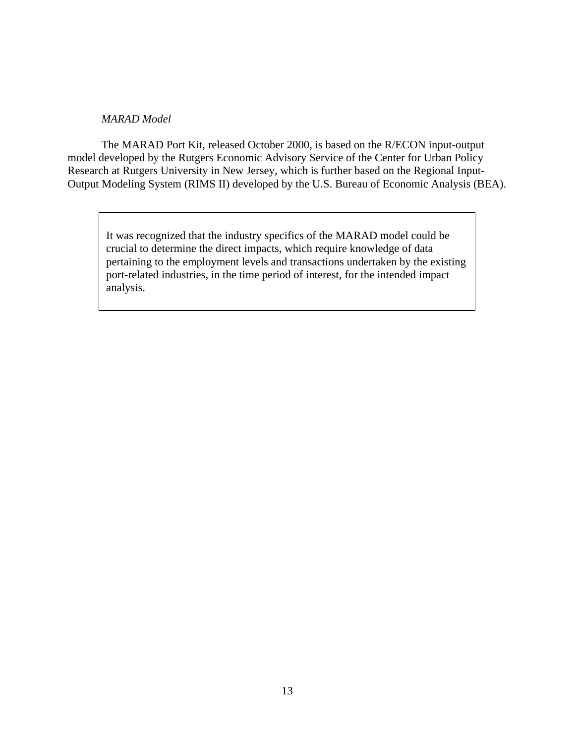### *MARAD Model*

The MARAD Port Kit, released October 2000, is based on the R/ECON input-output model developed by the Rutgers Economic Advisory Service of the Center for Urban Policy Research at Rutgers University in New Jersey, which is further based on the Regional Input-Output Modeling System (RIMS II) developed by the U.S. Bureau of Economic Analysis (BEA).

It was recognized that the industry specifics of the MARAD model could be crucial to determine the direct impacts, which require knowledge of data pertaining to the employment levels and transactions undertaken by the existing port-related industries, in the time period of interest, for the intended impact analysis.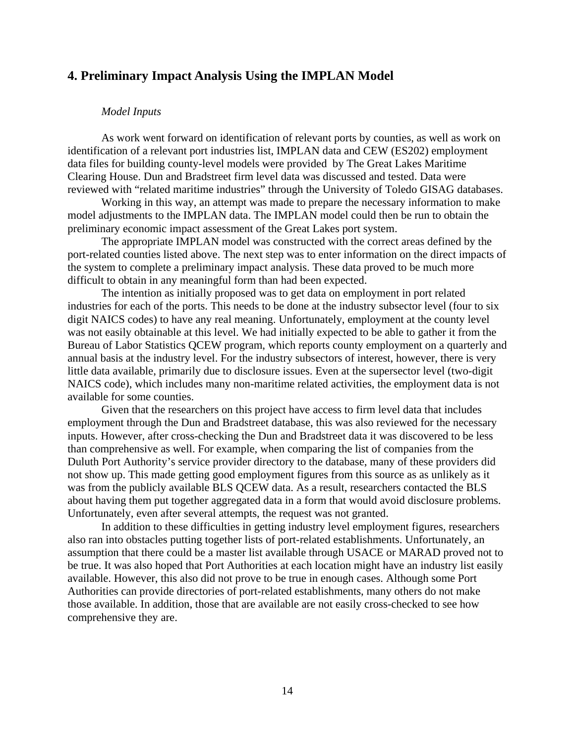### **4. Preliminary Impact Analysis Using the IMPLAN Model**

#### *Model Inputs*

As work went forward on identification of relevant ports by counties, as well as work on identification of a relevant port industries list, IMPLAN data and CEW (ES202) employment data files for building county-level models were provided by The Great Lakes Maritime Clearing House. Dun and Bradstreet firm level data was discussed and tested. Data were reviewed with "related maritime industries" through the University of Toledo GISAG databases.

Working in this way, an attempt was made to prepare the necessary information to make model adjustments to the IMPLAN data. The IMPLAN model could then be run to obtain the preliminary economic impact assessment of the Great Lakes port system.

The appropriate IMPLAN model was constructed with the correct areas defined by the port-related counties listed above. The next step was to enter information on the direct impacts of the system to complete a preliminary impact analysis. These data proved to be much more difficult to obtain in any meaningful form than had been expected.

The intention as initially proposed was to get data on employment in port related industries for each of the ports. This needs to be done at the industry subsector level (four to six digit NAICS codes) to have any real meaning. Unfortunately, employment at the county level was not easily obtainable at this level. We had initially expected to be able to gather it from the Bureau of Labor Statistics QCEW program, which reports county employment on a quarterly and annual basis at the industry level. For the industry subsectors of interest, however, there is very little data available, primarily due to disclosure issues. Even at the supersector level (two-digit NAICS code), which includes many non-maritime related activities, the employment data is not available for some counties.

Given that the researchers on this project have access to firm level data that includes employment through the Dun and Bradstreet database, this was also reviewed for the necessary inputs. However, after cross-checking the Dun and Bradstreet data it was discovered to be less than comprehensive as well. For example, when comparing the list of companies from the Duluth Port Authority's service provider directory to the database, many of these providers did not show up. This made getting good employment figures from this source as as unlikely as it was from the publicly available BLS QCEW data. As a result, researchers contacted the BLS about having them put together aggregated data in a form that would avoid disclosure problems. Unfortunately, even after several attempts, the request was not granted.

In addition to these difficulties in getting industry level employment figures, researchers also ran into obstacles putting together lists of port-related establishments. Unfortunately, an assumption that there could be a master list available through USACE or MARAD proved not to be true. It was also hoped that Port Authorities at each location might have an industry list easily available. However, this also did not prove to be true in enough cases. Although some Port Authorities can provide directories of port-related establishments, many others do not make those available. In addition, those that are available are not easily cross-checked to see how comprehensive they are.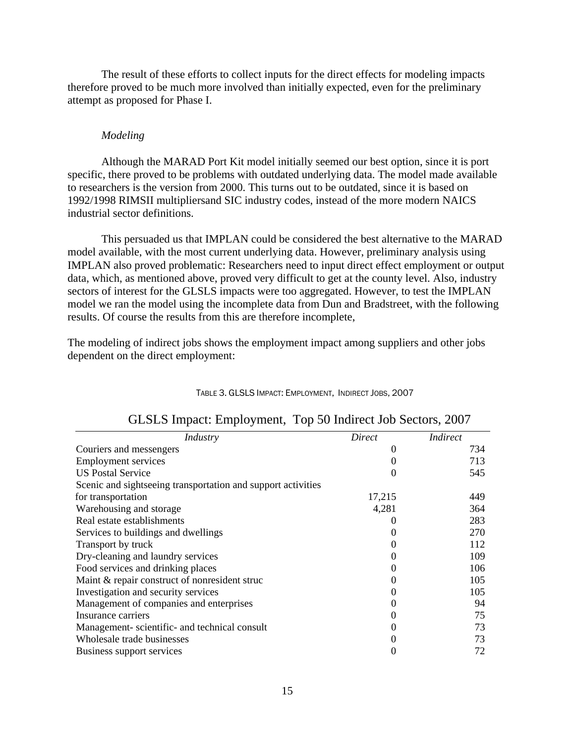The result of these efforts to collect inputs for the direct effects for modeling impacts therefore proved to be much more involved than initially expected, even for the preliminary attempt as proposed for Phase I.

#### *Modeling*

Although the MARAD Port Kit model initially seemed our best option, since it is port specific, there proved to be problems with outdated underlying data. The model made available to researchers is the version from 2000. This turns out to be outdated, since it is based on 1992/1998 RIMSII multipliersand SIC industry codes, instead of the more modern NAICS industrial sector definitions.

This persuaded us that IMPLAN could be considered the best alternative to the MARAD model available, with the most current underlying data. However, preliminary analysis using IMPLAN also proved problematic: Researchers need to input direct effect employment or output data, which, as mentioned above, proved very difficult to get at the county level. Also, industry sectors of interest for the GLSLS impacts were too aggregated. However, to test the IMPLAN model we ran the model using the incomplete data from Dun and Bradstreet, with the following results. Of course the results from this are therefore incomplete,

The modeling of indirect jobs shows the employment impact among suppliers and other jobs dependent on the direct employment:

| Industry                                                     | Direct | <i>Indirect</i> |
|--------------------------------------------------------------|--------|-----------------|
| Couriers and messengers                                      |        | 734             |
| <b>Employment services</b>                                   |        | 713             |
| <b>US Postal Service</b>                                     |        | 545             |
| Scenic and sightseeing transportation and support activities |        |                 |
| for transportation                                           | 17,215 | 449.            |
| Warehousing and storage                                      | 4,281  | 364             |
| Real estate establishments                                   |        | 283             |
| Services to buildings and dwellings                          |        | 270             |
| Transport by truck                                           |        | 112             |
| Dry-cleaning and laundry services                            |        | 109             |
| Food services and drinking places                            |        | 106             |
| Maint & repair construct of nonresident struc                |        | 105             |
| Investigation and security services                          |        | 105             |
| Management of companies and enterprises                      |        | 94              |
| Insurance carriers                                           |        | 75              |
| Management-scientific- and technical consult                 |        | 73              |
| Wholesale trade businesses                                   |        | 73              |
| Business support services                                    |        | 72              |

#### TABLE 3. GLSLS IMPACT: EMPLOYMENT, INDIRECT JOBS, 2007

### GLSLS Impact: Employment, Top 50 Indirect Job Sectors, 2007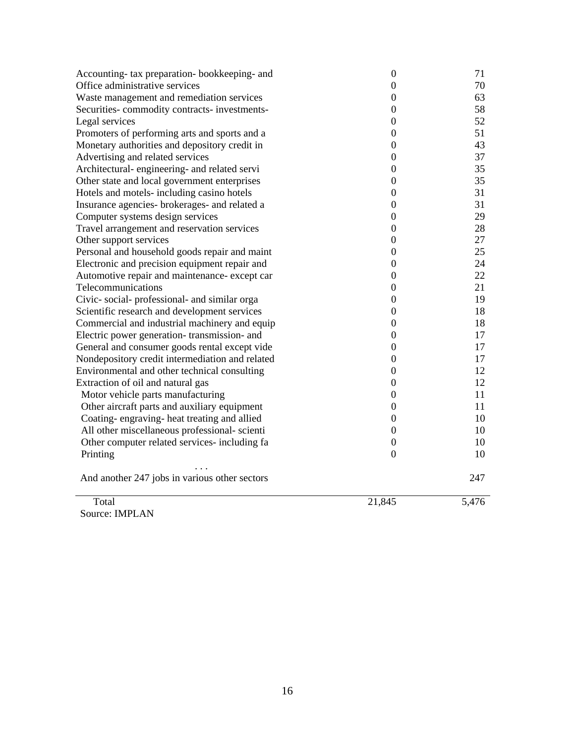| Accounting- tax preparation- bookkeeping- and   | $\boldsymbol{0}$ | 71    |
|-------------------------------------------------|------------------|-------|
| Office administrative services                  | $\boldsymbol{0}$ | 70    |
| Waste management and remediation services       | $\boldsymbol{0}$ | 63    |
| Securities-commodity contracts-investments-     | $\boldsymbol{0}$ | 58    |
| Legal services                                  | $\boldsymbol{0}$ | 52    |
| Promoters of performing arts and sports and a   | $\boldsymbol{0}$ | 51    |
| Monetary authorities and depository credit in   | $\boldsymbol{0}$ | 43    |
| Advertising and related services                | $\boldsymbol{0}$ | 37    |
| Architectural-engineering- and related servi    | $\boldsymbol{0}$ | 35    |
| Other state and local government enterprises    | $\boldsymbol{0}$ | 35    |
| Hotels and motels- including casino hotels      | $\boldsymbol{0}$ | 31    |
| Insurance agencies- brokerages- and related a   | $\boldsymbol{0}$ | 31    |
| Computer systems design services                | $\boldsymbol{0}$ | 29    |
| Travel arrangement and reservation services     | $\boldsymbol{0}$ | 28    |
| Other support services                          | $\boldsymbol{0}$ | 27    |
| Personal and household goods repair and maint   | $\overline{0}$   | 25    |
| Electronic and precision equipment repair and   | $\boldsymbol{0}$ | 24    |
| Automotive repair and maintenance- except car   | $\boldsymbol{0}$ | 22    |
| Telecommunications                              | $\boldsymbol{0}$ | 21    |
| Civic- social- professional- and similar orga   | $\boldsymbol{0}$ | 19    |
| Scientific research and development services    | $\boldsymbol{0}$ | 18    |
| Commercial and industrial machinery and equip   | $\boldsymbol{0}$ | 18    |
| Electric power generation-transmission- and     | $\overline{0}$   | 17    |
| General and consumer goods rental except vide   | $\boldsymbol{0}$ | 17    |
| Nondepository credit intermediation and related | $\boldsymbol{0}$ | 17    |
| Environmental and other technical consulting    | $\boldsymbol{0}$ | 12    |
| Extraction of oil and natural gas               | $\boldsymbol{0}$ | 12    |
| Motor vehicle parts manufacturing               | $\boldsymbol{0}$ | 11    |
| Other aircraft parts and auxiliary equipment    | $\boldsymbol{0}$ | 11    |
| Coating-engraving-heat treating and allied      | $\boldsymbol{0}$ | 10    |
| All other miscellaneous professional- scienti   | $\boldsymbol{0}$ | 10    |
| Other computer related services- including fa   | $\boldsymbol{0}$ | 10    |
| Printing                                        | $\boldsymbol{0}$ | 10    |
| And another 247 jobs in various other sectors   |                  | 247   |
| Total                                           | 21,845           | 5,476 |
| Source: IMPLAN                                  |                  |       |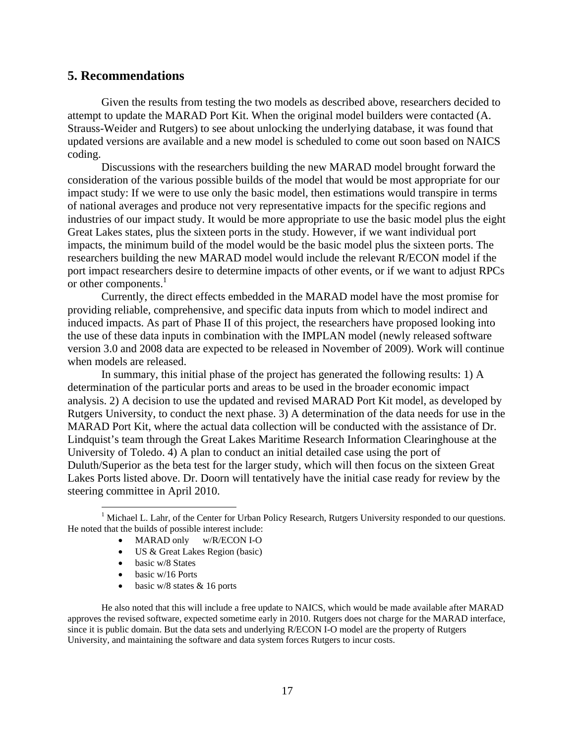## **5. Recommendations**

Given the results from testing the two models as described above, researchers decided to attempt to update the MARAD Port Kit. When the original model builders were contacted (A. Strauss-Weider and Rutgers) to see about unlocking the underlying database, it was found that updated versions are available and a new model is scheduled to come out soon based on NAICS coding.

Discussions with the researchers building the new MARAD model brought forward the consideration of the various possible builds of the model that would be most appropriate for our impact study: If we were to use only the basic model, then estimations would transpire in terms of national averages and produce not very representative impacts for the specific regions and industries of our impact study. It would be more appropriate to use the basic model plus the eight Great Lakes states, plus the sixteen ports in the study. However, if we want individual port impacts, the minimum build of the model would be the basic model plus the sixteen ports. The researchers building the new MARAD model would include the relevant R/ECON model if the port impact researchers desire to determine impacts of other events, or if we want to adjust RPCs or other components.<sup>1</sup>

Currently, the direct effects embedded in the MARAD model have the most promise for providing reliable, comprehensive, and specific data inputs from which to model indirect and induced impacts. As part of Phase II of this project, the researchers have proposed looking into the use of these data inputs in combination with the IMPLAN model (newly released software version 3.0 and 2008 data are expected to be released in November of 2009). Work will continue when models are released.

In summary, this initial phase of the project has generated the following results: 1) A determination of the particular ports and areas to be used in the broader economic impact analysis. 2) A decision to use the updated and revised MARAD Port Kit model, as developed by Rutgers University, to conduct the next phase. 3) A determination of the data needs for use in the MARAD Port Kit, where the actual data collection will be conducted with the assistance of Dr. Lindquist's team through the Great Lakes Maritime Research Information Clearinghouse at the University of Toledo. 4) A plan to conduct an initial detailed case using the port of Duluth/Superior as the beta test for the larger study, which will then focus on the sixteen Great Lakes Ports listed above. Dr. Doorn will tentatively have the initial case ready for review by the steering committee in April 2010.

- MARAD only w/R/ECON I-O
- US & Great Lakes Region (basic)
- basic w/8 States

 $\overline{a}$ 

- basic w/16 Ports
- basic w/8 states  $& 16$  ports

He also noted that this will include a free update to NAICS, which would be made available after MARAD approves the revised software, expected sometime early in 2010. Rutgers does not charge for the MARAD interface, since it is public domain. But the data sets and underlying R/ECON I-O model are the property of Rutgers University, and maintaining the software and data system forces Rutgers to incur costs.

<sup>&</sup>lt;sup>1</sup> Michael L. Lahr, of the Center for Urban Policy Research, Rutgers University responded to our questions. He noted that the builds of possible interest include: